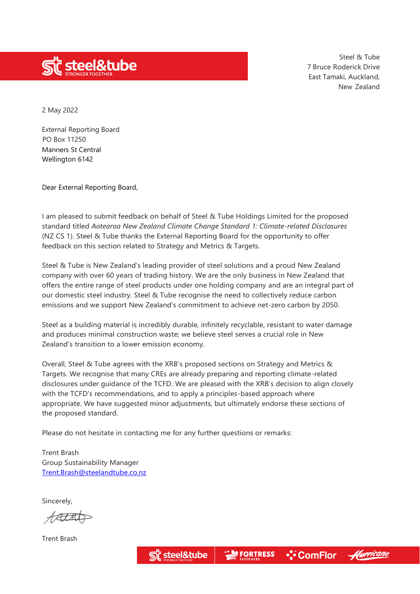

2 May 2022

External Reporting Board PO Box 11250 Manners St Central Wellington 6142

Dear External Reporting Board,

I am pleased to submit feedback on behalf of Steel & Tube Holdings Limited for the proposed standard titled *Aotearoa New Zealand Climate Change Standard 1: Climate-related Disclosures*  (NZ CS 1). Steel & Tube thanks the External Reporting Board for the opportunity to offer feedback on this section related to Strategy and Metrics & Targets.

Steel & Tube is New Zealand's leading provider of steel solutions and a proud New Zealand company with over 60 years of trading history. We are the only business in New Zealand that offers the entire range of steel products under one holding company and are an integral part of our domestic steel industry. Steel & Tube recognise the need to collectively reduce carbon emissions and we support New Zealand's commitment to achieve net-zero carbon by 2050.

Steel as a building material is incredibly durable, infinitely recyclable, resistant to water damage and produces minimal construction waste; we believe steel serves a crucial role in New Zealand's transition to a lower emission economy.

Overall, Steel & Tube agrees with the XRB's proposed sections on Strategy and Metrics & Targets. We recognise that many CREs are already preparing and reporting climate-related disclosures under guidance of the TCFD. We are pleased with the XRB's decision to align closely with the TCFD's recommendations, and to apply a principles-based approach where appropriate. We have suggested minor adjustments, but ultimately endorse these sections of the proposed standard.

Please do not hesitate in contacting me for any further questions or remarks:

Trent Brash Group Sustainability Manager [Trent.Brash@steelandtube.co.nz](mailto:Trent.Brash@steelandtube.co.nz)

Sincerely,

AALM

Trent Brash

**I FORTRESS** • ComFlor steel&tube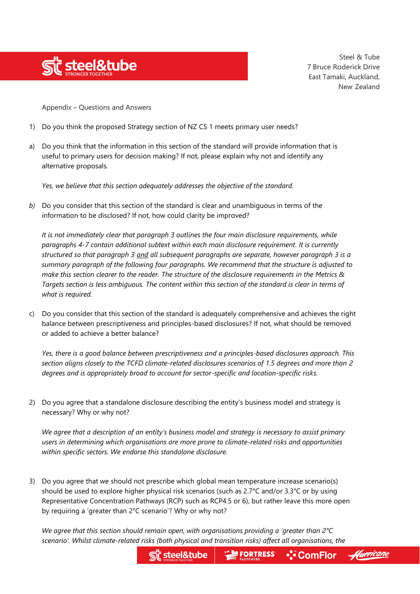

Appendix – Questions and Answers

- 1) Do you think the proposed Strategy section of NZ CS 1 meets primary user needs?
- a) Do you think that the information in this section of the standard will provide information that is useful to primary users for decision making? If not, please explain why not and identify any alternative proposals.

*Yes, we believe that this section adequately addresses the objective of the standard.*

*b)* Do you consider that this section of the standard is clear and unambiguous in terms of the information to be disclosed? If not, how could clarity be improved?

*It is not immediately clear that paragraph 3 outlines the four main disclosure requirements, while paragraphs 4-7 contain additional subtext within each main disclosure requirement. It is currently structured so that paragraph 3 and all subsequent paragraphs are separate, however paragraph 3 is a summary paragraph of the following four paragraphs. We recommend that the structure is adjusted to make this section clearer to the reader. The structure of the disclosure requirements in the Metrics & Targets section is less ambiguous. The content within this section of the standard is clear in terms of what is required.*

c) Do you consider that this section of the standard is adequately comprehensive and achieves the right balance between prescriptiveness and principles-based disclosures? If not, what should be removed or added to achieve a better balance?

*Yes, there is a good balance between prescriptiveness and a principles-based disclosures approach. This section aligns closely to the TCFD climate-related disclosures scenarios of 1.5 degrees and more than 2 degrees and is appropriately broad to account for sector-specific and location-specific risks.*

2) Do you agree that a standalone disclosure describing the entity's business model and strategy is necessary? Why or why not?

*We agree that a description of an entity's business model and strategy is necessary to assist primary users in determining which organisations are more prone to climate-related risks and opportunities within specific sectors. We endorse this standalone disclosure.*

3) Do you agree that we should not prescribe which global mean temperature increase scenario(s) should be used to explore higher physical risk scenarios (such as 2.7°C and/or 3.3°C or by using Representative Concentration Pathways (RCP) such as RCP4.5 or 6), but rather leave this more open by requiring a 'greater than 2°C scenario'? Why or why not?

*We agree that this section should remain open, with organisations providing a 'greater than 2°C scenario'. Whilst climate-related risks (both physical and transition risks) affect all organisations, the*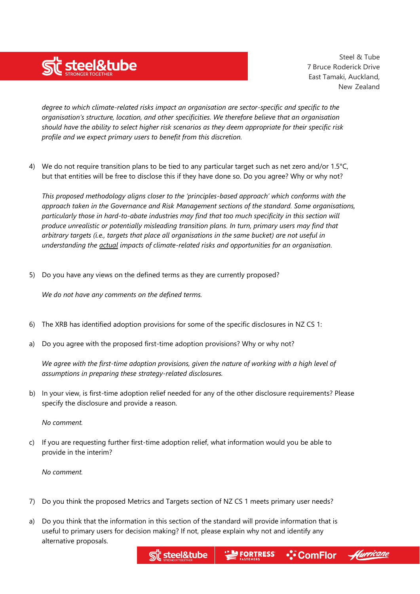

*degree to which climate-related risks impact an organisation are sector-specific and specific to the organisation's structure, location, and other specificities. We therefore believe that an organisation should have the ability to select higher risk scenarios as they deem appropriate for their specific risk profile and we expect primary users to benefit from this discretion.*

4) We do not require transition plans to be tied to any particular target such as net zero and/or 1.5°C, but that entities will be free to disclose this if they have done so. Do you agree? Why or why not?

*This proposed methodology aligns closer to the 'principles-based approach' which conforms with the approach taken in the Governance and Risk Management sections of the standard. Some organisations, particularly those in hard-to-abate industries may find that too much specificity in this section will produce unrealistic or potentially misleading transition plans. In turn, primary users may find that arbitrary targets (i.e., targets that place all organisations in the same bucket) are not useful in understanding the actual impacts of climate-related risks and opportunities for an organisation.* 

5) Do you have any views on the defined terms as they are currently proposed?

*We do not have any comments on the defined terms.*

- 6) The XRB has identified adoption provisions for some of the specific disclosures in NZ CS 1:
- a) Do you agree with the proposed first-time adoption provisions? Why or why not?

*We agree with the first-time adoption provisions, given the nature of working with a high level of assumptions in preparing these strategy-related disclosures.*

b) In your view, is first-time adoption relief needed for any of the other disclosure requirements? Please specify the disclosure and provide a reason.

*No comment.*

c) If you are requesting further first-time adoption relief, what information would you be able to provide in the interim?

*No comment.*

- 7) Do you think the proposed Metrics and Targets section of NZ CS 1 meets primary user needs?
- a) Do you think that the information in this section of the standard will provide information that is useful to primary users for decision making? If not, please explain why not and identify any alternative proposals.

steel&tube

**FORTRESS** 

•:•๊ ComFlor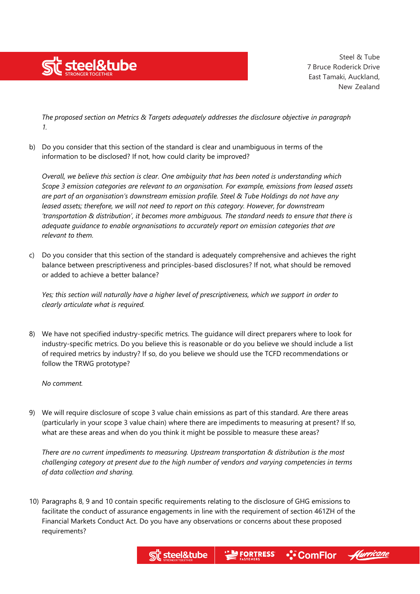

*The proposed section on Metrics & Targets adequately addresses the disclosure objective in paragraph 1.*

b) Do you consider that this section of the standard is clear and unambiguous in terms of the information to be disclosed? If not, how could clarity be improved?

*Overall, we believe this section is clear. One ambiguity that has been noted is understanding which Scope 3 emission categories are relevant to an organisation. For example, emissions from leased assets are part of an organisation's downstream emission profile. Steel & Tube Holdings do not have any leased assets; therefore, we will not need to report on this category. However, for downstream 'transportation & distribution', it becomes more ambiguous. The standard needs to ensure that there is adequate guidance to enable orgnanisations to accurately report on emission categories that are relevant to them.*

c) Do you consider that this section of the standard is adequately comprehensive and achieves the right balance between prescriptiveness and principles-based disclosures? If not, what should be removed or added to achieve a better balance?

*Yes; this section will naturally have a higher level of prescriptiveness, which we support in order to clearly articulate what is required.*

8) We have not specified industry-specific metrics. The guidance will direct preparers where to look for industry-specific metrics. Do you believe this is reasonable or do you believe we should include a list of required metrics by industry? If so, do you believe we should use the TCFD recommendations or follow the TRWG prototype?

*No comment.*

9) We will require disclosure of scope 3 value chain emissions as part of this standard. Are there areas (particularly in your scope 3 value chain) where there are impediments to measuring at present? If so, what are these areas and when do you think it might be possible to measure these areas?

*There are no current impediments to measuring. Upstream transportation & distribution is the most challenging category at present due to the high number of vendors and varying competencies in terms of data collection and sharing.*

10) Paragraphs 8, 9 and 10 contain specific requirements relating to the disclosure of GHG emissions to facilitate the conduct of assurance engagements in line with the requirement of section 461ZH of the Financial Markets Conduct Act. Do you have any observations or concerns about these proposed requirements?

steel&tube

•:•๊ ComFlor